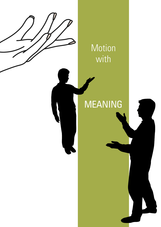

# MEANING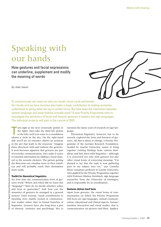# Speaking with our hands

How gestures and facial expressions can underline, supplement and modify the meaning of words

*By Anke Sauter*



To communicate, we need not only our mouth, vocal cords and breath. Our hands and our face muscles also make a major contribution to making ourselves understood or giving what we say a certain focus. But how does the interaction between spoken language and hand motions actually work? A new Priority Programme aims to investigate the semantics of facial and manual gestures in spoken and sign languages. The individual projects will start in the course of 2022.

T urn right at the next crossroads (points to the right), then take the third left (points to the left) until you come to a roundabout (draws a circle in the air). On the right-hand side you'll see an entrance (draws an archway in the air) that leads to the museum." Imagine these directions with and without the gestures. It soon becomes apparent that gestures are part of everyday communication, they make it easier to transmit information by adding a visual channel to the acoustic element. The person getting the directions can visualise more in their mind's eye and will probably reach their destination more easily.

### **Toolkit for theoretical linguistics**

Yet how does the communication level of gestures work? Where and when did we learn this "language"? How do we decide whether, when and how to gesticulate? And how can the semantics of gestures be arranged in a general system? Until recently, visual contributions to meaning were mainly treated in communication studies rather than in formal branches of linguistics. Gestures have also long been a part of rhetoric, semiotics and psychology. Not to

mention the many years of research on sign language.

Theoretical linguistics, however, has so far scarcely explored the form and function of gestures. All that is about to change: a Priority Programme of the German Research Foundation, headed by Goethe University, wants to bring together existing findings from various disciplines and link them with linguistics – although it is concerned not only with gestures but also other visual forms of conveying meaning. "I'm pleased to say that the topic is now gathering pace in my subject area too," says Cornelia Ebert, semantics professor at Goethe University, who applied for the Priority Programme together with Professor Markus Steinbach, sign language researcher from the University of Göttingen, and is responsible for its coordination.

#### **Gestures deliver hard facts**

Apart from gestures, the visual forms of communication on which the Priority Programme will focus are sign languages, animal communication, educational and clinical aspects, humanmachine interaction and visual studies, that is, communication via pictures and films. Applica-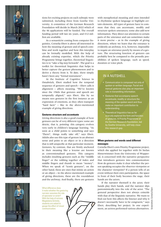









tions for exciting projects on each subtopic were submitted, including three from Goethe University. A committee of the German Research Foundation will decide in March 2022 which of the 46 applications will be funded. The overall funding period will last six years, and €12 million are available.

As a semanticist coming from computer linguistics, Cornelia Ebert is above all interested in how the meaning of gesture and of speech combine and work together and how this interplay can be formally modelled. With the help of already existing expertise, which the Priority Programme brings together, theoretical linguistics is to "take a big step forwards". The goal is a toolkit for theoretical linguistics that helps to better capture the gesture phenomenon and to derive a theory from it. To date, there simply hasn't been any "formal instrument".

At the Institute of Cognitive Science in Osnabrück, Ebert studied how the temporal sequence of gestures and speech – Ebert calls it alignment – affects meaning. "We've known since the 1960s that gestures and speech are temporally aligned," says Ebert. She by no means sees gestures in the first instance as an expression of emotions, as they often transport "hard facts" – like in the above-mentioned example of giving directions.

#### **Gestures structure and accentuate**

Giving directions is also a good example of how gestures can be of very different types: some are deictic, that is, pointing; this category evolves very early in children's language learning. "As soon as a child points to something and says 'There!', things really take off," says Ebert. Adults also use this type of gesture in an abstract sense and point to an object or in a direction that is still unspecific at that particular moment. Gestures, by contrast, that are firmly anchored in their meaning like a lexeme are known as conventionalised gestures. This category includes insulting gestures such as the "middle finger" or the rubbing together of index and middle fingers and thumb to mean "money". When we speak of "iconic gestures", on the other hand, these are ones that mimic an action or an object – in the above-mentioned example of giving directions, these are the roundabout and the archway. And finally, there are gestures

What difference does it make whether the gesturing narrator assumes the role of spectator or actor? With the help of actress Magdalena Schmitz, students are asked to gauge the effect of visual communication.

with metaphorical meaning and ones intended to rhythmise spoken language or highlight certain elements. All types of gesture have in common that they can accentuate, modify and structure spoken utterances; some also add new information. They direct our attention to certain parts of the utterance and can sometimes make it more precise – as in the example of giving directions, where we learn that the entrance is evidently an archway. It is, however, impossible to negate an utterance purely by means of a gesture. The structuring function of gestures can probably best be compared to the prosodic possibilities of spoken language, such as speed, duration or voice pitch.

# IN A NUTSHELL

- Communication is composed not only of spoken or written language. Facial and manual gestures also play an important role in transmitting information.
- Gestures that accompany speech accentuate, modify or structure the meaning of the spoken word and thus make an important contribution to understanding.
- Theoretical linguistics has so far scarcely explored the form and function of gestures. A Priority Programme of the German Research Foundation, led by Goethe University, will help close this research gap.

# **When gestures and words send different messages**

Cornelia Ebert's own Priority Programme project, which she applied for together with Dr Stefan Hinterwimmer from the University of Wuppertal, is concerned with the narrative perspective that introduces gestures into communication: How do gestures make it clear whether the person speaking occupies the observer viewpoint or the character viewpoint? If a person tells of an event without their own participation, the space in front of their body becomes the stage, their hands are the actors.

If the narrator themself is the actor, their hands play their hands, and the narrator slips pantomimically into the role of the actor. "The gestural perspective does not always coincide with that of the linguistic narrative. We want to find out how this affects the listener and why it doesn't necessarily have to be congruent," says Ebert, describing her project. In one experiment, an actress performed various alternatives.